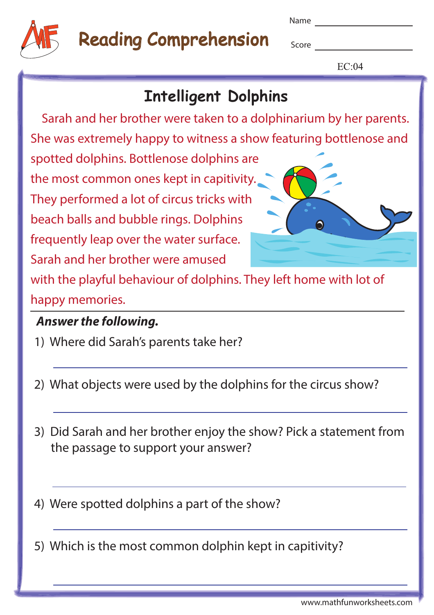

# Reading Comprehension

Name

**Score** 

 $EC:04$ 

### **Intelligent Dolphins**

 Sarah and her brother were taken to a dolphinarium by her parents. She was extremely happy to witness a show featuring bottlenose and

spotted dolphins. Bottlenose dolphins are the most common ones kept in capitivity. They performed a lot of circus tricks with beach balls and bubble rings. Dolphins frequently leap over the water surface. Sarah and her brother were amused



with the playful behaviour of dolphins. They left home with lot of happy memories.

#### **Answer the following.**

- 1) Where did Sarah's parents take her?
- 2) What objects were used by the dolphins for the circus show?
- 3) Did Sarah and her brother enjoy the show? Pick a statement from the passage to support your answer?

4) Were spotted dolphins a part of the show?

5) Which is the most common dolphin kept in capitivity?